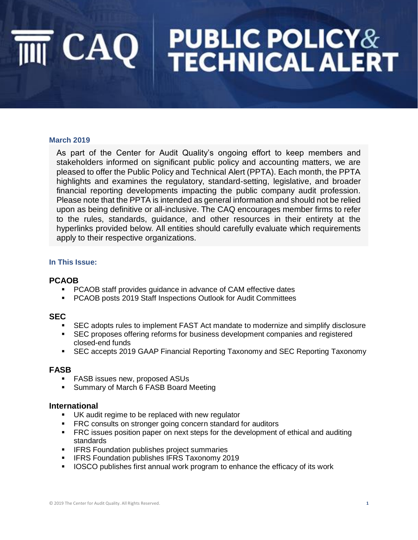#### **March 2019**

As part of the Center for Audit Quality's ongoing effort to keep members and stakeholders informed on significant public policy and accounting matters, we are pleased to offer the Public Policy and Technical Alert (PPTA). Each month, the PPTA highlights and examines the regulatory, standard-setting, legislative, and broader financial reporting developments impacting the public company audit profession. Please note that the PPTA is intended as general information and should not be relied upon as being definitive or all-inclusive. The CAQ encourages member firms to refer to the rules, standards, guidance, and other resources in their entirety at the hyperlinks provided below. All entities should carefully evaluate which requirements apply to their respective organizations.

#### **In This Issue:**

#### **PCAOB**

- PCAOB staff provides guidance in advance of CAM effective dates
- PCAOB posts 2019 Staff Inspections Outlook for Audit Committees

#### **SEC**

- SEC adopts rules to implement FAST Act mandate to modernize and simplify disclosure
- **EXEC proposes offering reforms for business development companies and registered** closed-end funds
- SEC accepts 2019 GAAP Financial Reporting Taxonomy and SEC Reporting Taxonomy

#### **FASB**

- FASB issues new, proposed ASUs
- Summary of March 6 FASB Board Meeting

#### **International**

- UK audit regime to be replaced with new regulator
- **FRC consults on stronger going concern standard for auditors**
- **FRC issues position paper on next steps for the development of ethical and auditing** standards
- **IFRS Foundation publishes project summaries**
- **EXECT:** IFRS Foundation publishes IFRS Taxonomy 2019
- IOSCO publishes first annual work program to enhance the efficacy of its work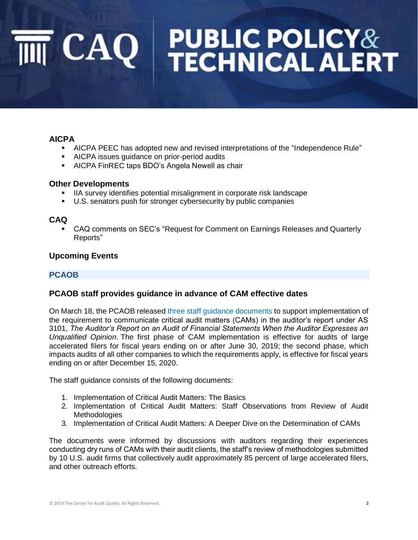### **AICPA**

- AICPA PEEC has adopted new and revised interpretations of the "Independence Rule"
- AICPA issues guidance on prior-period audits
- AICPA FinREC taps BDO's Angela Newell as chair

#### **Other Developments**

- IIA survey identifies potential misalignment in corporate risk landscape
- U.S. senators push for stronger cybersecurity by public companies

#### **CAQ**

CAQ comments on SEC's "Request for Comment on Earnings Releases and Quarterly Reports"

#### **Upcoming Events**

### **PCAOB**

#### **PCAOB staff provides guidance in advance of CAM effective dates**

On March 18, the PCAOB released [three staff guidance documents](https://pcaobus.org/News/Releases/Pages/PCAOB-staff-provides-guidance-advance-CAM-effective-dates.aspx) to support implementation of the requirement to communicate critical audit matters (CAMs) in the auditor's report under AS 3101, *The Auditor's Report on an Audit of Financial Statements When the Auditor Expresses an Unqualified Opinion*. The first phase of CAM implementation is effective for audits of large accelerated filers for fiscal years ending on or after June 30, 2019; the second phase, which impacts audits of all other companies to which the requirements apply, is effective for fiscal years ending on or after December 15, 2020.

The staff guidance consists of the following documents:

- 1. Implementation of Critical Audit Matters: The Basics
- 2. Implementation of Critical Audit Matters: Staff Observations from Review of Audit **Methodologies**
- 3. Implementation of Critical Audit Matters: A Deeper Dive on the Determination of CAMs

The documents were informed by discussions with auditors regarding their experiences conducting dry runs of CAMs with their audit clients, the staff's review of methodologies submitted by 10 U.S. audit firms that collectively audit approximately 85 percent of large accelerated filers, and other outreach efforts.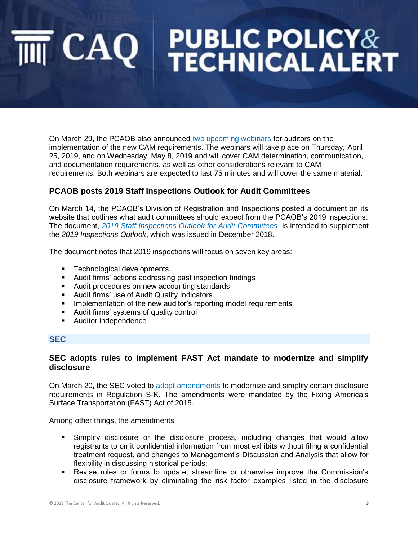On March 29, the PCAOB also announced [two upcoming webinars](https://pcaobus.org/News/Releases/Pages/upcoming-webinars-critical-audit-matters.aspx?utm_source=PCAOB+Email+Subscriptions&utm_campaign=af99a4b2e9-EMAIL_CAMPAIGN_2019-cam-guidance_COPY_01&utm_medium=email&utm_term=0_c97e2ba223-af99a4b2e9-125380673) for auditors on the implementation of the new CAM requirements. The webinars will take place on Thursday, April 25, 2019, and on Wednesday, May 8, 2019 and will cover CAM determination, communication, and documentation requirements, as well as other considerations relevant to CAM requirements. Both webinars are expected to last 75 minutes and will cover the same material.

### **PCAOB posts 2019 Staff Inspections Outlook for Audit Committees**

On March 14, the PCAOB's Division of Registration and Inspections posted a document on its website that outlines what audit committees should expect from the PCAOB's 2019 inspections. The document, *[2019 Staff Inspections Outlook for Audit Committees](https://pcaobus.org/Inspections/Documents/2019-Staff-Inspections-Outlook-Audit-Committees.pdf)*, is intended to supplement the *2019 Inspections Outlook*, which was issued in December 2018.

The document notes that 2019 inspections will focus on seven key areas:

- Technological developments
- Audit firms' actions addressing past inspection findings
- Audit procedures on new accounting standards
- Audit firms' use of Audit Quality Indicators
- **•** Implementation of the new auditor's reporting model requirements
- Audit firms' systems of quality control
- Auditor independence

#### **SEC**

#### **SEC adopts rules to implement FAST Act mandate to modernize and simplify disclosure**

On March 20, the SEC voted to [adopt amendments](https://www.sec.gov/news/press-release/2019-38) to modernize and simplify certain disclosure requirements in Regulation S-K. The amendments were mandated by the Fixing America's Surface Transportation (FAST) Act of 2015.

Among other things, the amendments:

- Simplify disclosure or the disclosure process, including changes that would allow registrants to omit confidential information from most exhibits without filing a confidential treatment request, and changes to Management's Discussion and Analysis that allow for flexibility in discussing historical periods;
- Revise rules or forms to update, streamline or otherwise improve the Commission's disclosure framework by eliminating the risk factor examples listed in the disclosure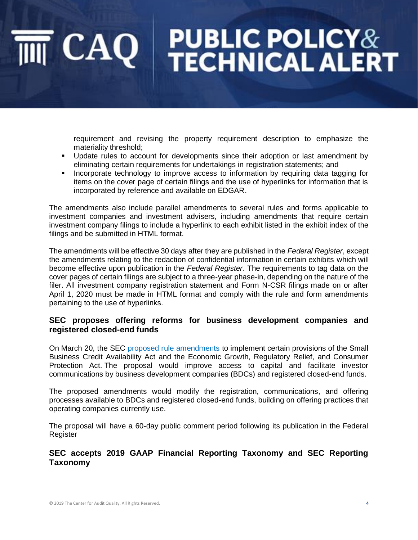requirement and revising the property requirement description to emphasize the materiality threshold;

- Update rules to account for developments since their adoption or last amendment by eliminating certain requirements for undertakings in registration statements; and
- **•** Incorporate technology to improve access to information by requiring data tagging for items on the cover page of certain filings and the use of hyperlinks for information that is incorporated by reference and available on EDGAR.

The amendments also include parallel amendments to several rules and forms applicable to investment companies and investment advisers, including amendments that require certain investment company filings to include a hyperlink to each exhibit listed in the exhibit index of the filings and be submitted in HTML format.

The amendments will be effective 30 days after they are published in the *Federal Register*, except the amendments relating to the redaction of confidential information in certain exhibits which will become effective upon publication in the *Federal Register*. The requirements to tag data on the cover pages of certain filings are subject to a three-year phase-in, depending on the nature of the filer. All investment company registration statement and Form N-CSR filings made on or after April 1, 2020 must be made in HTML format and comply with the rule and form amendments pertaining to the use of hyperlinks.

#### **SEC proposes offering reforms for business development companies and registered closed-end funds**

On March 20, the SEC [proposed rule amendments](https://www.sec.gov/news/press-release/2019-39) to implement certain provisions of the Small Business Credit Availability Act and the Economic Growth, Regulatory Relief, and Consumer Protection Act. The proposal would improve access to capital and facilitate investor communications by business development companies (BDCs) and registered closed-end funds.

The proposed amendments would modify the registration, communications, and offering processes available to BDCs and registered closed-end funds, building on offering practices that operating companies currently use.

The proposal will have a 60-day public comment period following its publication in the Federal Register

### **SEC accepts 2019 GAAP Financial Reporting Taxonomy and SEC Reporting Taxonomy**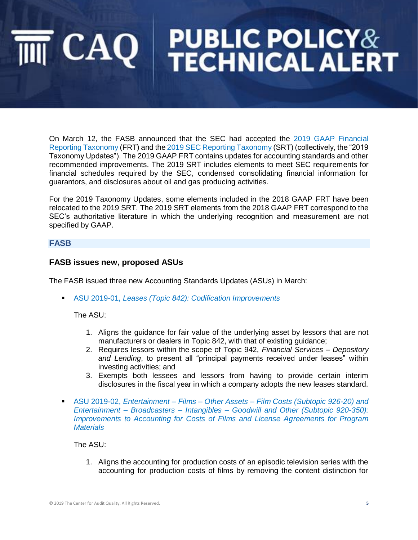On March 12, the FASB announced that the SEC had accepted the [2019 GAAP Financial](https://www.fasb.org/cs/Satellite?c=Page&cid=1176171754056&pagename=FASB%2FPage%2FSectionPage)  [Reporting Taxonomy](https://www.fasb.org/cs/Satellite?c=Page&cid=1176171754056&pagename=FASB%2FPage%2FSectionPage) (FRT) and the [2019 SEC Reporting Taxonomy](https://www.fasb.org/cs/Satellite?c=Page&cid=1176171753305&pagename=FASB%2FPage%2FSectionPage) (SRT) (collectively, the "2019 Taxonomy Updates"). The 2019 GAAP FRT contains updates for accounting standards and other recommended improvements. The 2019 SRT includes elements to meet SEC requirements for financial schedules required by the SEC, condensed consolidating financial information for guarantors, and disclosures about oil and gas producing activities.

For the 2019 Taxonomy Updates, some elements included in the 2018 GAAP FRT have been relocated to the 2019 SRT. The 2019 SRT elements from the 2018 GAAP FRT correspond to the SEC's authoritative literature in which the underlying recognition and measurement are not specified by GAAP.

#### **FASB**

#### **FASB issues new, proposed ASUs**

The FASB issued three new Accounting Standards Updates (ASUs) in March:

▪ ASU 2019-01, *[Leases \(Topic 842\): Codification Improvements](https://www.fasb.org/jsp/FASB/Document_C/DocumentPage?cid=1176172257430&acceptedDisclaimer=true)*

#### The ASU:

- 1. Aligns the guidance for fair value of the underlying asset by lessors that are not manufacturers or dealers in Topic 842, with that of existing guidance;
- 2. Requires lessors within the scope of Topic 942, *Financial Services – Depository and Lending*, to present all "principal payments received under leases" within investing activities; and
- 3. Exempts both lessees and lessors from having to provide certain interim disclosures in the fiscal year in which a company adopts the new leases standard.
- ASU 2019-02, *Entertainment – Films – Other Assets – [Film Costs \(Subtopic 926-20\) and](https://www.fasb.org/jsp/FASB/Document_C/DocumentPage?cid=1176172264622&acceptedDisclaimer=true)  Entertainment – Broadcasters – Intangibles – [Goodwill and Other \(Subtopic 920-350\):](https://www.fasb.org/jsp/FASB/Document_C/DocumentPage?cid=1176172264622&acceptedDisclaimer=true)  [Improvements to Accounting for Costs of Films and License Agreements for Program](https://www.fasb.org/jsp/FASB/Document_C/DocumentPage?cid=1176172264622&acceptedDisclaimer=true)  [Materials](https://www.fasb.org/jsp/FASB/Document_C/DocumentPage?cid=1176172264622&acceptedDisclaimer=true)*

#### The ASU:

1. Aligns the accounting for production costs of an episodic television series with the accounting for production costs of films by removing the content distinction for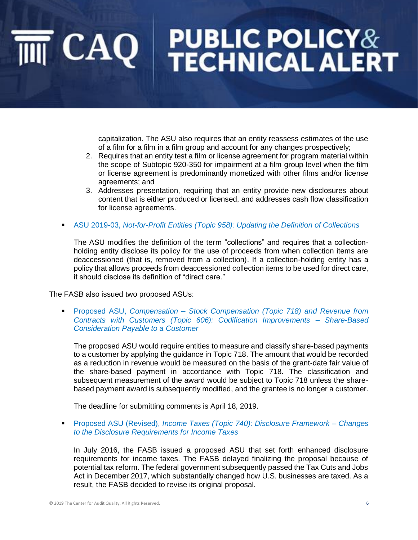capitalization. The ASU also requires that an entity reassess estimates of the use of a film for a film in a film group and account for any changes prospectively;

- 2. Requires that an entity test a film or license agreement for program material within the scope of Subtopic 920-350 for impairment at a film group level when the film or license agreement is predominantly monetized with other films and/or license agreements; and
- 3. Addresses presentation, requiring that an entity provide new disclosures about content that is either produced or licensed, and addresses cash flow classification for license agreements.
- **EXECU 2019-03, [Not-for-Profit Entities \(Topic 958\): Updating the Definition of Collections](https://www.fasb.org/jsp/FASB/Document_C/DocumentPage?cid=1176172375318&acceptedDisclaimer=true)**

The ASU modifies the definition of the term "collections" and requires that a collectionholding entity disclose its policy for the use of proceeds from when collection items are deaccessioned (that is, removed from a collection). If a collection-holding entity has a policy that allows proceeds from deaccessioned collection items to be used for direct care, it should disclose its definition of "direct care."

The FASB also issued two proposed ASUs:

▪ Proposed ASU, *Compensation – [Stock Compensation \(Topic 718\) and Revenue from](https://www.fasb.org/jsp/FASB/Document_C/DocumentPage?cid=1176172244836&acceptedDisclaimer=true)  [Contracts with Customers \(Topic 606\): Codification Improvements –](https://www.fasb.org/jsp/FASB/Document_C/DocumentPage?cid=1176172244836&acceptedDisclaimer=true) Share-Based [Consideration Payable to a Customer](https://www.fasb.org/jsp/FASB/Document_C/DocumentPage?cid=1176172244836&acceptedDisclaimer=true)*

The proposed ASU would require entities to measure and classify share-based payments to a customer by applying the guidance in Topic 718. The amount that would be recorded as a reduction in revenue would be measured on the basis of the grant-date fair value of the share-based payment in accordance with Topic 718. The classification and subsequent measurement of the award would be subject to Topic 718 unless the sharebased payment award is subsequently modified, and the grantee is no longer a customer.

The deadline for submitting comments is April 18, 2019.

▪ Proposed ASU (Revised), *Income Taxes (Topic [740\): Disclosure Framework –](https://www.fasb.org/jsp/FASB/Document_C/DocumentPage?cid=1176172382198&acceptedDisclaimer=true) Changes [to the Disclosure Requirements for Income Taxes](https://www.fasb.org/jsp/FASB/Document_C/DocumentPage?cid=1176172382198&acceptedDisclaimer=true)*

In July 2016, the FASB issued a proposed ASU that set forth enhanced disclosure requirements for income taxes. The FASB delayed finalizing the proposal because of potential tax reform. The federal government subsequently passed the Tax Cuts and Jobs Act in December 2017, which substantially changed how U.S. businesses are taxed. As a result, the FASB decided to revise its original proposal.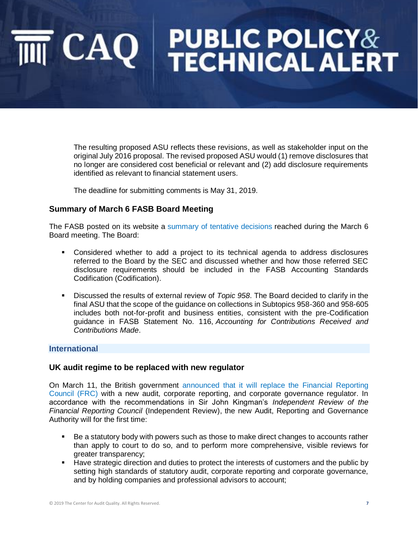The resulting proposed ASU reflects these revisions, as well as stakeholder input on the original July 2016 proposal. The revised proposed ASU would (1) remove disclosures that no longer are considered cost beneficial or relevant and (2) add disclosure requirements identified as relevant to financial statement users.

The deadline for submitting comments is May 31, 2019.

#### **Summary of March 6 FASB Board Meeting**

The FASB posted on its website a [summary of tentative decisions](http://caq.informz.net/z/cjUucD9taT04Mzc1OTQ2JnA9MSZ1PTEwNzgwNzMxNTkmbGk9NjM2NzQzNjc/index.html) reached during the March 6 Board meeting. The Board:

- Considered whether to add a project to its technical agenda to address disclosures referred to the Board by the SEC and discussed whether and how those referred SEC disclosure requirements should be included in the FASB Accounting Standards Codification (Codification).
- **EXEDENT** Discussed the results of external review of *Topic 958*. The Board decided to clarify in the final ASU that the scope of the guidance on collections in Subtopics 958-360 and 958-605 includes both not-for-profit and business entities, consistent with the pre-Codification guidance in FASB Statement No. 116, *Accounting for Contributions Received and Contributions Made*.

#### **International**

#### **UK audit regime to be replaced with new regulator**

On March 11, the British government [announced that it will replace the Financial Reporting](https://www.gov.uk/government/news/audit-regime-in-the-uk-to-be-transformed-with-new-regulator)  [Council \(FRC\)](https://www.gov.uk/government/news/audit-regime-in-the-uk-to-be-transformed-with-new-regulator) with a new audit, corporate reporting, and corporate governance regulator. In accordance with the recommendations in Sir John Kingman's *Independent Review of the Financial Reporting Council* (Independent Review), the new Audit, Reporting and Governance Authority will for the first time:

- Be a statutory body with powers such as those to make direct changes to accounts rather than apply to court to do so, and to perform more comprehensive, visible reviews for greater transparency;
- Have strategic direction and duties to protect the interests of customers and the public by setting high standards of statutory audit, corporate reporting and corporate governance, and by holding companies and professional advisors to account;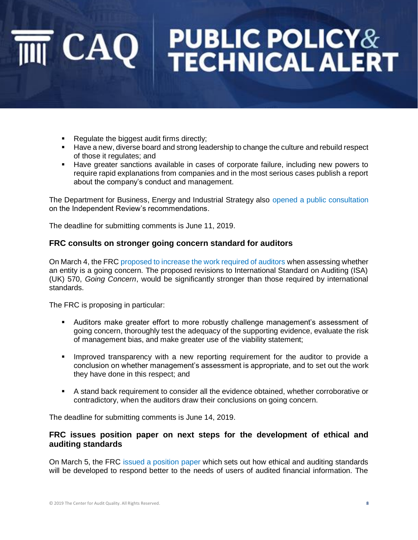# CAQ PUBLIC POLICY&

- Regulate the biggest audit firms directly;
- Have a new, diverse board and strong leadership to change the culture and rebuild respect of those it regulates; and
- Have greater sanctions available in cases of corporate failure, including new powers to require rapid explanations from companies and in the most serious cases publish a report about the company's conduct and management.

The Department for Business, Energy and Industrial Strategy also [opened a public consultation](https://www.gov.uk/government/consultations/independent-review-of-the-financial-reporting-council-initial-consultation-on-recommendations) on the Independent Review's recommendations.

The deadline for submitting comments is June 11, 2019.

#### **FRC consults on stronger going concern standard for auditors**

On March 4, the FRC [proposed to increase the work required of auditors](https://www.frc.org.uk/news/march-2019/frc-consults-on-stronger-going-concern-standard-fo) when assessing whether an entity is a going concern. The proposed revisions to International Standard on Auditing (ISA) (UK) 570, *Going Concern*, would be significantly stronger than those required by international standards.

The FRC is proposing in particular:

- Auditors make greater effort to more robustly challenge management's assessment of going concern, thoroughly test the adequacy of the supporting evidence, evaluate the risk of management bias, and make greater use of the viability statement;
- **•** Improved transparency with a new reporting requirement for the auditor to provide a conclusion on whether management's assessment is appropriate, and to set out the work they have done in this respect; and
- A stand back requirement to consider all the evidence obtained, whether corroborative or contradictory, when the auditors draw their conclusions on going concern.

The deadline for submitting comments is June 14, 2019.

#### **FRC issues position paper on next steps for the development of ethical and auditing standards**

On March 5, the FRC [issued a position paper](https://www.frc.org.uk/news/march-2019/frc-issues-position-paper-next-steps-for-developm) which sets out how ethical and auditing standards will be developed to respond better to the needs of users of audited financial information. The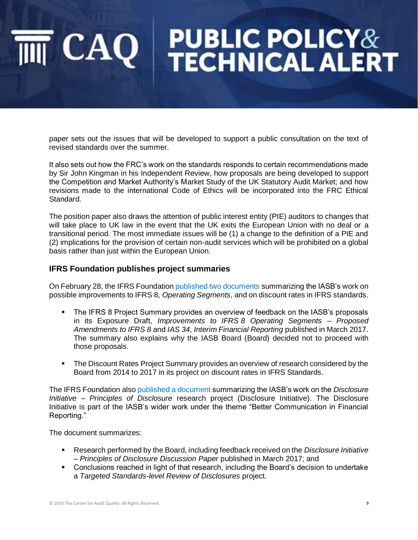paper sets out the issues that will be developed to support a public consultation on the text of revised standards over the summer.

It also sets out how the FRC's work on the standards responds to certain recommendations made by Sir John Kingman in his Independent Review, how proposals are being developed to support the Competition and Market Authority's Market Study of the UK Statutory Audit Market; and how revisions made to the international Code of Ethics will be incorporated into the FRC Ethical Standard.

The position paper also draws the attention of public interest entity (PIE) auditors to changes that will take place to UK law in the event that the UK exits the European Union with no deal or a transitional period. The most immediate issues will be (1) a change to the definition of a PIE and (2) implications for the provision of certain non-audit services which will be prohibited on a global basis rather than just within the European Union.

#### **IFRS Foundation publishes project summaries**

On February 28, the IFRS Foundation [published two documents](https://www.ifrs.org/news-and-events/2019/02/project-summaries-on-ifrs-8-and-discount-rates-published/) summarizing the IASB's work on possible improvements to IFRS 8, *Operating Segments*, and on discount rates in IFRS standards.

- The IFRS 8 Project Summary provides an overview of feedback on the IASB's proposals in its Exposure Draft, *Improvements to IFRS 8 Operating Segments – Proposed Amendments to IFRS 8* and *IAS 34*, *Interim Financial Reporting* published in March 2017. The summary also explains why the IASB Board (Board) decided not to proceed with those proposals.
- **The Discount Rates Project Summary provides an overview of research considered by the** Board from 2014 to 2017 in its project on discount rates in IFRS Standards.

The IFRS Foundation also [published a document](https://www.ifrs.org/news-and-events/2019/03/disclosure-initiative-principles-of-disclosure-project-summary-now-available/) summarizing the IASB's work on the *Disclosure Initiative – Principles of Disclosure* research project (Disclosure Initiative). The Disclosure Initiative is part of the IASB's wider work under the theme "Better Communication in Financial Reporting."

The document summarizes:

- Research performed by the Board, including feedback received on the *Disclosure Initiative – Principles of Disclosure Discussion Paper* published in March 2017; and
- Conclusions reached in light of that research, including the Board's decision to undertake a *Targeted Standards-level Review of Disclosures* project.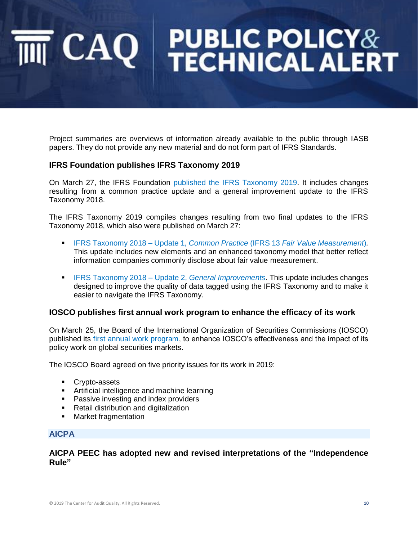Project summaries are overviews of information already available to the public through IASB papers. They do not provide any new material and do not form part of IFRS Standards.

### **IFRS Foundation publishes IFRS Taxonomy 2019**

On March 27, the IFRS Foundation [published the IFRS Taxonomy 2019.](https://www.ifrs.org/news-and-events/2019/03/ifrs-foundation-publishes-ifrs-taxonomy-2019/) It includes changes resulting from a common practice update and a general improvement update to the IFRS Taxonomy 2018.

The IFRS Taxonomy 2019 compiles changes resulting from two final updates to the IFRS Taxonomy 2018, which also were published on March 27:

- IFRS Taxonomy 2018 Update 1, *Common Practice* (IFRS 13 *[Fair Value Measurement](https://www.ifrs.org/-/media/project/ifrs-taxonomy-2018-common-practice-ifrs-13/tu-2018-ifrs-13-common-practice.pdf?la=en)*)*.*  This update includes new elements and an enhanced taxonomy model that better reflect information companies commonly disclose about fair value measurement.
- **ERS Taxonomy 2018 Update 2,** *General Improvements*. This update includes changes designed to improve the quality of data tagged using the IFRS Taxonomy and to make it easier to navigate the IFRS Taxonomy.

### **IOSCO publishes first annual work program to enhance the efficacy of its work**

On March 25, the Board of the International Organization of Securities Commissions (IOSCO) published its [first annual work program,](https://www.iosco.org/library/pubdocs/pdf/IOSCOPD625.pdf) to enhance IOSCO's effectiveness and the impact of its policy work on global securities markets.

The IOSCO Board agreed on five priority issues for its work in 2019:

- Crypto-assets
- Artificial intelligence and machine learning
- Passive investing and index providers
- Retail distribution and digitalization
- Market fragmentation

#### **AICPA**

**AICPA PEEC has adopted new and revised interpretations of the "Independence Rule"**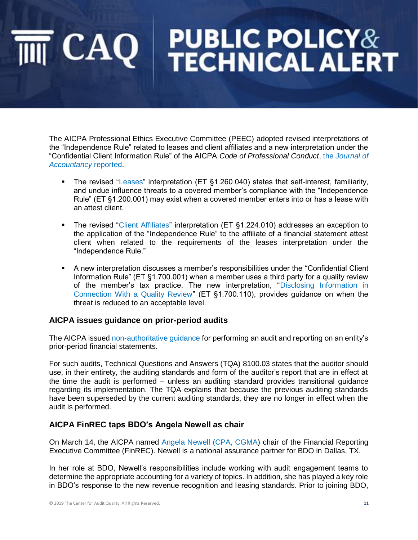The AICPA Professional Ethics Executive Committee (PEEC) adopted revised interpretations of the "Independence Rule" related to leases and client affiliates and a new interpretation under the "Confidential Client Information Rule" of the AICPA *Code of Professional Conduct*, the *[Journal of](https://www.journalofaccountancy.com/news/2019/mar/aicpa-peec-ethics-interpretations-201920566.html)  [Accountancy](https://www.journalofaccountancy.com/news/2019/mar/aicpa-peec-ethics-interpretations-201920566.html)* reported.

- The revised ["Leases"](http://pub.aicpa.org/codeofconduct/resourceseamlesslogin.aspx?prod=ethics&tdoc=et-cod&tptr=et-cod1.260.040) interpretation (ET §1.260.040) states that self-interest, familiarity, and undue influence threats to a covered member's compliance with the "Independence Rule" (ET §1.200.001) may exist when a covered member enters into or has a lease with an attest client.
- The revised ["Client Affiliates"](http://pub.aicpa.org/codeofconduct/resourceseamlesslogin.aspx?prod=ethics&tdoc=et-cod&tptr=et-cod1.224.010) interpretation (ET §1.224.010) addresses an exception to the application of the "Independence Rule" to the affiliate of a financial statement attest client when related to the requirements of the leases interpretation under the "Independence Rule."
- A new interpretation discusses a member's responsibilities under the "Confidential Client Information Rule" (ET §1.700.001) when a member uses a third party for a quality review of the member's tax practice. The new interpretation, ["Disclosing Information in](http://pub.aicpa.org/codeofconduct/resourceseamlesslogin.aspx?prod=ethics&tdoc=et-cod&tptr=et-cod1.700.110)  [Connection With a Quality Review"](http://pub.aicpa.org/codeofconduct/resourceseamlesslogin.aspx?prod=ethics&tdoc=et-cod&tptr=et-cod1.700.110) (ET §1.700.110), provides guidance on when the threat is reduced to an acceptable level.

### **AICPA issues guidance on prior-period audits**

The AICPA issued [non-authoritative guidance](https://www.aicpa.org/interestareas/frc/recentlyissuedtechnicalquestionsandanswers.html) for performing an audit and reporting on an entity's prior-period financial statements.

For such audits, Technical Questions and Answers (TQA) 8100.03 states that the auditor should use, in their entirety, the auditing standards and form of the auditor's report that are in effect at the time the audit is performed – unless an auditing standard provides transitional guidance regarding its implementation. The TQA explains that because the previous auditing standards have been superseded by the current auditing standards, they are no longer in effect when the audit is performed.

### **AICPA FinREC taps BDO's Angela Newell as chair**

On March 14, the AICPA named [Angela Newell \(CPA, CGMA\)](https://www.aicpa.org/press/pressreleases/2019/aicpa-finrec-taps-bdos-angela-newell-as-chair.html) chair of the Financial Reporting Executive Committee (FinREC). Newell is a national assurance partner for BDO in Dallas, TX.

In her role at BDO, Newell's responsibilities include working with audit engagement teams to determine the appropriate accounting for a variety of topics. In addition, she has played a key role in BDO's response to the new revenue recognition and leasing standards. Prior to joining BDO,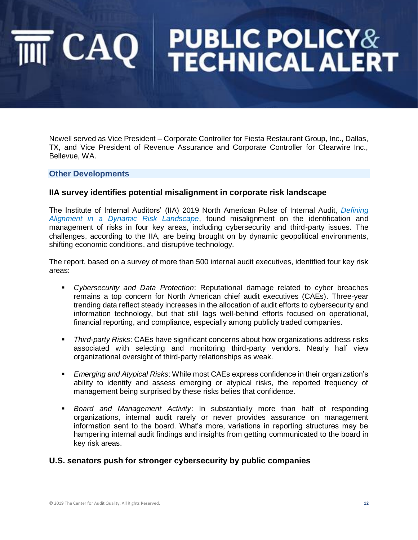Newell served as Vice President – Corporate Controller for Fiesta Restaurant Group, Inc., Dallas, TX, and Vice President of Revenue Assurance and Corporate Controller for Clearwire Inc., Bellevue, WA.

#### **Other Developments**

#### **IIA survey identifies potential misalignment in corporate risk landscape**

The Institute of Internal Auditors' (IIA) 2019 North American Pulse of Internal Audit, *[Defining](https://na.theiia.org/news/Pages/2019-North-American-Pulse-of-Internal-Audit-Report-Identifies-Potential-Misalignment-in-Corporate-Risk-Landscape.aspx)  [Alignment in a Dynamic Risk Landscape](https://na.theiia.org/news/Pages/2019-North-American-Pulse-of-Internal-Audit-Report-Identifies-Potential-Misalignment-in-Corporate-Risk-Landscape.aspx)*, found misalignment on the identification and management of risks in four key areas, including cybersecurity and third-party issues. The challenges, according to the IIA, are being brought on by dynamic geopolitical environments, shifting economic conditions, and disruptive technology.

The report, based on a survey of more than 500 internal audit executives, identified four key risk areas:

- *Cybersecurity and Data Protection*: Reputational damage related to cyber breaches remains a top concern for North American chief audit executives (CAEs). Three-year trending data reflect steady increases in the allocation of audit efforts to cybersecurity and information technology, but that still lags well-behind efforts focused on operational, financial reporting, and compliance, especially among publicly traded companies.
- *Third-party Risks*: CAEs have significant concerns about how organizations address risks associated with selecting and monitoring third-party vendors. Nearly half view organizational oversight of third-party relationships as weak.
- *Emerging and Atypical Risks*: While most CAEs express confidence in their organization's ability to identify and assess emerging or atypical risks, the reported frequency of management being surprised by these risks belies that confidence.
- *Board and Management Activity*: In substantially more than half of responding organizations, internal audit rarely or never provides assurance on management information sent to the board. What's more, variations in reporting structures may be hampering internal audit findings and insights from getting communicated to the board in key risk areas.

#### **U.S. senators push for stronger cybersecurity by public companies**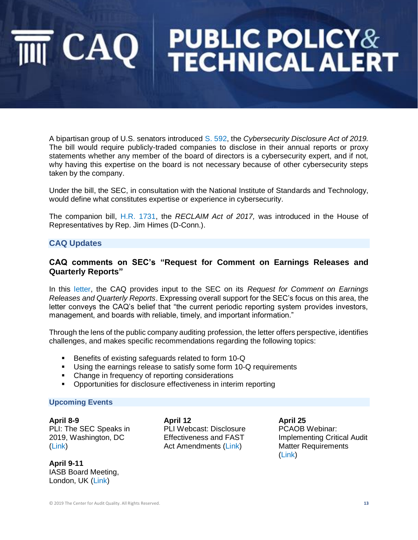A bipartisan group of U.S. senators introduced [S. 592,](https://www.congress.gov/bill/116th-congress/senate-bill/592/text) the *Cybersecurity Disclosure Act of 2019.*  The bill would require publicly-traded companies to disclose in their annual reports or proxy statements whether any member of the board of directors is a cybersecurity expert, and if not, why having this expertise on the board is not necessary because of other cybersecurity steps taken by the company.

Under the bill, the SEC, in consultation with the National Institute of Standards and Technology, would define what constitutes expertise or experience in cybersecurity.

The companion bill, [H.R. 1731,](https://www.congress.gov/bill/116th-congress/house-bill/1731/text) the *RECLAIM Act of 2017,* was introduced in the House of Representatives by Rep. Jim Himes (D-Conn.).

#### **CAQ Updates**

#### **CAQ comments on SEC's "Request for Comment on Earnings Releases and Quarterly Reports"**

In this [letter,](https://www.thecaq.org/sec-request-comment-earnings-releases-and-quarterly-reports) the CAQ provides input to the SEC on its *Request for Comment on Earnings Releases and Quarterly Reports*. Expressing overall support for the SEC's focus on this area, the letter conveys the CAQ's belief that "the current periodic reporting system provides investors, management, and boards with reliable, timely, and important information."

Through the lens of the public company auditing profession, the letter offers perspective, identifies challenges, and makes specific recommendations regarding the following topics:

- Benefits of existing safeguards related to form 10-Q
- **■** Using the earnings release to satisfy some form 10-Q requirements
- Change in frequency of reporting considerations
- Opportunities for disclosure effectiveness in interim reporting

#### **Upcoming Events**

**April 8-9** PLI: The SEC Speaks in 2019, Washington, DC [\(Link\)](https://www.pli.edu/programs/sec-speaks?t=live&p=251745)

**April 9-11** IASB Board Meeting, London, UK [\(Link\)](https://www.ifrs.org/news-and-events/calendar/2019/april/international-accounting-standards-board/)

**April 12** PLI Webcast: Disclosure Effectiveness and FAST Act Amendments [\(Link\)](https://www.pli.edu/programs/fast-act-amendments)

**April 25** PCAOB Webinar: Implementing Critical Audit Matter Requirements [\(Link\)](https://pcaobus.org/News/Events/Pages/04252019-CAM-webinar.aspx)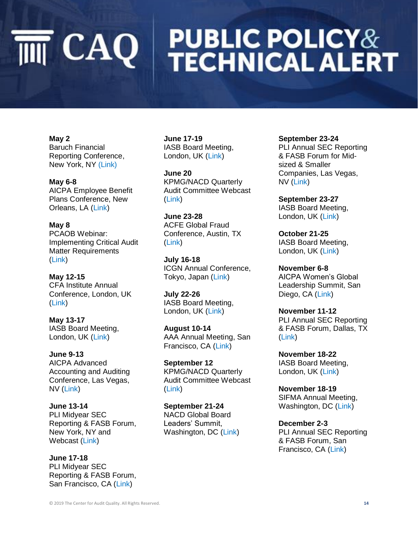# **PUBLIC POLICY&<br>TECHNICAL ALERT**  $\overline{\mathbb{M}}$  CAQ

**May 2** Baruch Financial Reporting Conference, New York, NY [\(Link\)](https://zsbapp.baruch.cuny.edu/zicklin/ccievents/registration.aspx?eTitle=The%2018th%20Annual%20Financial%20Reporting%20Conference&eDate=05/02/2019&eHeading=The%20Robert%200Zicklin%20Center%20for%20Corporate%20Integrity&rid=3849T2019-02-26T14-33-28&_ga=2.143892534.2065109905.1554390756-1083633548.1553718976)

**May 6-8** AICPA Employee Benefit Plans Conference, New Orleans, LA [\(Link\)](https://www.aicpastore.com/EmployeeBenefitPlans/aicpa-employee-benefit-plans-conference/PRDOVR~PC-EMPBEN/PC-EMPBEN.jsp)

**May 8** PCAOB Webinar: Implementing Critical Audit Matter Requirements [\(Link\)](https://pcaobus.org/News/Events/Pages/05082019-CAM-webinar.aspx)

**May 12-15** CFA Institute Annual Conference, London, UK [\(Link\)](https://www.cfainstitute.org/en/events/conferences/annual-2019)

**May 13-17** IASB Board Meeting, London, UK [\(Link\)](https://www.ifrs.org/news-and-events/calendar/2019/may/international-accounting-standards-board/)

**June 9-13** AICPA Advanced Accounting and Auditing Conference, Las Vegas, NV [\(Link\)](https://www.aicpastore.com/AuditAttest/advanced-accounting-and-auditing-conference--naaat/PRDOVR~PC-NAA/PC-NAA.jsp)

**June 13-14** PLI Midyear SEC Reporting & FASB Forum, New York, NY and Webcast [\(Link\)](https://www.pli.edu/Content/Seminar/34th_Midyear_SEC_Reporting_FASB_Forum/_/N-4kZ1z0zgmm?ID=348111)

**June 17-18** PLI Midyear SEC Reporting & FASB Forum, San Francisco, CA [\(Link\)](https://www.pli.edu/Content/Seminar/34th_Midyear_SEC_Reporting_FASB_Forum/_/N-4kZ1z0zgmm?ID=348111)

**June 17-19** IASB Board Meeting, London, UK [\(Link\)](https://www.ifrs.org/news-and-events/calendar/2019/june/international-accounting-standards-board/)

**June 20** KPMG/NACD Quarterly Audit Committee Webcast [\(Link\)](https://www.nacdonline.org/events/detail.cfm?itemnumber=64700)

**June 23-28** ACFE Global Fraud Conference, Austin, TX [\(Link\)](https://www.fraudconference.com/30annual/sessions.aspx)

**July 16-18** ICGN Annual Conference, Tokyo, Japan [\(Link\)](https://www.icgn.org/events/icgn-2019-annual-conference-tokyo)

**July 22-26** IASB Board Meeting, London, UK [\(Link\)](https://www.ifrs.org/news-and-events/calendar/2019/july/international-accounting-standards-board/)

**August 10-14** AAA Annual Meeting, San Francisco, CA [\(Link\)](http://aaahq.org/Meetings/2019/Annual-Meeting)

**September 12** KPMG/NACD Quarterly Audit Committee Webcast [\(Link\)](https://www.nacdonline.org/events/detail.cfm?itemnumber=64701)

**September 21-24** NACD Global Board Leaders' Summit, Washington, DC [\(Link\)](https://www.nacdonline.org/summit/#/)

#### **September 23-24**

PLI Annual SEC Reporting & FASB Forum for Midsized & Smaller Companies, Las Vegas, NV [\(Link\)](https://www.pli.edu/Content/Seminar/15th_Annual_SEC_Reporting_FASB_Forum_for/_/N-4kZ1z0zgpe?ID=347900)

**September 23-27** IASB Board Meeting, London, UK [\(Link\)](https://www.ifrs.org/news-and-events/calendar/2019/september/international-accounting-standards-board/)

**October 21-25** IASB Board Meeting, London, UK [\(Link\)](https://www.ifrs.org/news-and-events/calendar/2019/october/international-accounting-standards-board/)

**November 6-8** AICPA Women's Global Leadership Summit, San Diego, CA [\(Link\)](https://www.aicpastore.com/NotforProfit/aicpa-women-s-global-leadership-summit/PRDOVR~PC-WOM/PC-WOM.jsp)

**November 11-12** PLI Annual SEC Reporting & FASB Forum, Dallas, TX [\(Link\)](https://www.pli.edu/Content/Seminar/35th_Annual_SEC_Reporting_FASB_Forum/_/N-4kZ1z0zgpd?ID=347901)

**November 18-22** IASB Board Meeting, London, UK [\(Link\)](https://www.ifrs.org/news-and-events/calendar/2019/november/international-accounting-standards-board/)

**November 18-19** SIFMA Annual Meeting, Washington, DC [\(Link\)](https://www.sifma.org/event/sifma-annual-meeting/)

**December 2-3** PLI Annual SEC Reporting & FASB Forum, San Francisco, CA [\(Link\)](https://www.pli.edu/Content/Seminar/35th_Annual_SEC_Reporting_FASB_Forum/_/N-4kZ1z0zgpd?ID=347901)